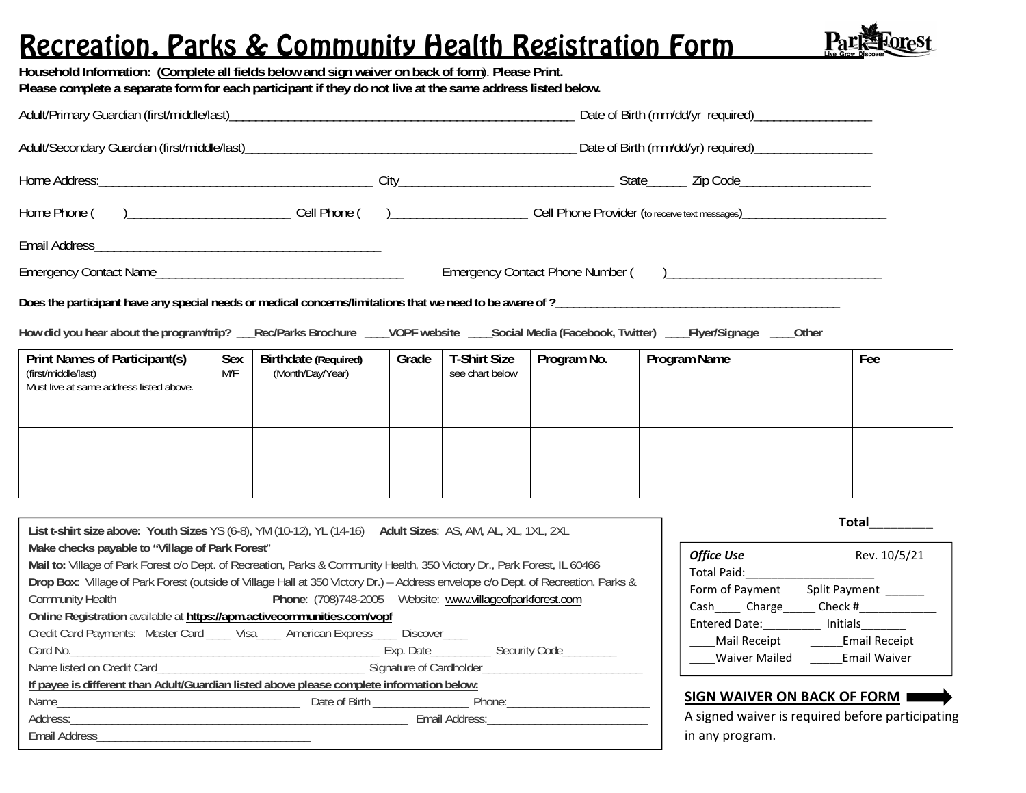# Recreation, Parks & Community Health Registration Form

**Household Information: (Complete all fields below and sign waiver on back of form**). **Please Print.** 



|                                                                                                                                                                                                                                                                                                                                                                                                                                                                                                                         |            |                                                                                           |       |                                        |             | How did you hear about the program/trip? __Rec/Parks Brochure ___VOPF website ___Social Media (Facebook, Twitter) ___Flyer/Signage ___Other |                                                                                                                                                                           |  |
|-------------------------------------------------------------------------------------------------------------------------------------------------------------------------------------------------------------------------------------------------------------------------------------------------------------------------------------------------------------------------------------------------------------------------------------------------------------------------------------------------------------------------|------------|-------------------------------------------------------------------------------------------|-------|----------------------------------------|-------------|---------------------------------------------------------------------------------------------------------------------------------------------|---------------------------------------------------------------------------------------------------------------------------------------------------------------------------|--|
| <b>Print Names of Participant(s)</b><br>(first/middle/last)<br>Must live at same address listed above.                                                                                                                                                                                                                                                                                                                                                                                                                  | Sex<br>M/F | <b>Birthdate (Required)</b><br>(Month/Day/Year)                                           | Grade | <b>T-Shirt Size</b><br>see chart below | Program No. | Program Name                                                                                                                                | Fee                                                                                                                                                                       |  |
|                                                                                                                                                                                                                                                                                                                                                                                                                                                                                                                         |            |                                                                                           |       |                                        |             |                                                                                                                                             |                                                                                                                                                                           |  |
|                                                                                                                                                                                                                                                                                                                                                                                                                                                                                                                         |            |                                                                                           |       |                                        |             |                                                                                                                                             |                                                                                                                                                                           |  |
|                                                                                                                                                                                                                                                                                                                                                                                                                                                                                                                         |            |                                                                                           |       |                                        |             |                                                                                                                                             |                                                                                                                                                                           |  |
|                                                                                                                                                                                                                                                                                                                                                                                                                                                                                                                         |            |                                                                                           |       |                                        |             |                                                                                                                                             |                                                                                                                                                                           |  |
| List t-shirt size above: Youth Sizes YS (6-8), YM (10-12), YL (14-16) Adult Sizes: AS, AM, AL, XL, 1XL, 2XL<br>Make checks payable to "Village of Park Forest"                                                                                                                                                                                                                                                                                                                                                          |            |                                                                                           |       |                                        |             | <b>Office Use</b>                                                                                                                           | Rev. 10/5/21                                                                                                                                                              |  |
| Mail to: Village of Park Forest c/o Dept. of Recreation, Parks & Community Health, 350 Victory Dr., Park Forest, IL 60466<br>Drop Box: Village of Park Forest (outside of Village Hall at 350 Victory Dr.) - Address envelope c/o Dept. of Recreation, Parks &<br>Phone: (708)748-2005  Website: www.villageofparkforest.com<br><b>Community Health</b><br>Online Registration available at https://apm.activecommunities.com/vopf<br>Credit Card Payments: Master Card ____ Visa____ American Express____ Discover____ |            |                                                                                           |       |                                        |             | Total Paid:                                                                                                                                 | Form of Payment Split Payment ______<br>Cash Charge Check #<br>Entered Date: Initials_______<br>Mail Receipt ________ Email Receipt<br>Waiver Mailed _______ Email Waiver |  |
| Name listed on Credit Card Carrier Carrier Carrier Carrier Carrier Carrier Carrier Carrier Carrier Carrier Carrier Carrier Carrier Carrier Carrier Carrier Carrier Carrier Carrier Carrier Carrier Carrier Carrier Carrier Car                                                                                                                                                                                                                                                                                          |            | If payee is different than Adult/Guardian listed above please complete information below: |       |                                        |             | SIGN WAIVER ON BACK OF FORM                                                                                                                 |                                                                                                                                                                           |  |